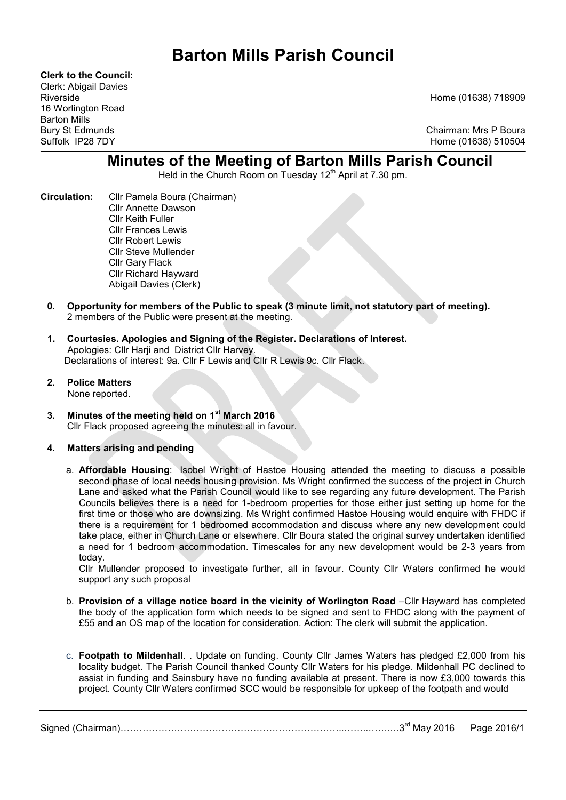# Barton Mills Parish Council

Clerk to the Council: Clerk: Abigail Davies 16 Worlington Road Barton Mills

Riverside Home (01638) 718909

Bury St Edmunds Chairman: Mrs P Boura Home (01638) 510504

# Minutes of the Meeting of Barton Mills Parish Council

Held in the Church Room on Tuesday  $12<sup>th</sup>$  April at 7.30 pm.

- Circulation: Cllr Pamela Boura (Chairman) Cllr Annette Dawson Cllr Keith Fuller Cllr Frances Lewis Cllr Robert Lewis Cllr Steve Mullender Cllr Gary Flack Cllr Richard Hayward Abigail Davies (Clerk)
	- 0. Opportunity for members of the Public to speak (3 minute limit, not statutory part of meeting). 2 members of the Public were present at the meeting.
	- 1. Courtesies. Apologies and Signing of the Register. Declarations of Interest. Apologies: Cllr Harji and District Cllr Harvey. Declarations of interest: 9a. Cllr F Lewis and Cllr R Lewis 9c. Cllr Flack.
	- 2. Police Matters None reported.
	- 3. Minutes of the meeting held on 1<sup>st</sup> March 2016 Cllr Flack proposed agreeing the minutes: all in favour.

# 4. Matters arising and pending

a. Affordable Housing: Isobel Wright of Hastoe Housing attended the meeting to discuss a possible second phase of local needs housing provision. Ms Wright confirmed the success of the project in Church Lane and asked what the Parish Council would like to see regarding any future development. The Parish Councils believes there is a need for 1-bedroom properties for those either just setting up home for the first time or those who are downsizing. Ms Wright confirmed Hastoe Housing would enquire with FHDC if there is a requirement for 1 bedroomed accommodation and discuss where any new development could take place, either in Church Lane or elsewhere. Cllr Boura stated the original survey undertaken identified a need for 1 bedroom accommodation. Timescales for any new development would be 2-3 years from today.

Cllr Mullender proposed to investigate further, all in favour. County Cllr Waters confirmed he would support any such proposal

- b. Provision of a village notice board in the vicinity of Worlington Road –Cllr Hayward has completed the body of the application form which needs to be signed and sent to FHDC along with the payment of £55 and an OS map of the location for consideration. Action: The clerk will submit the application.
- c. Footpath to Mildenhall. . Update on funding. County Cllr James Waters has pledged £2,000 from his locality budget. The Parish Council thanked County Cllr Waters for his pledge. Mildenhall PC declined to assist in funding and Sainsbury have no funding available at present. There is now £3,000 towards this project. County Cllr Waters confirmed SCC would be responsible for upkeep of the footpath and would

|  | Signed (L<br>्∩ (Chairman) | ี <sup>วูrd</sup> Mav .<br>2016 | Page 2016/1 |
|--|----------------------------|---------------------------------|-------------|
|--|----------------------------|---------------------------------|-------------|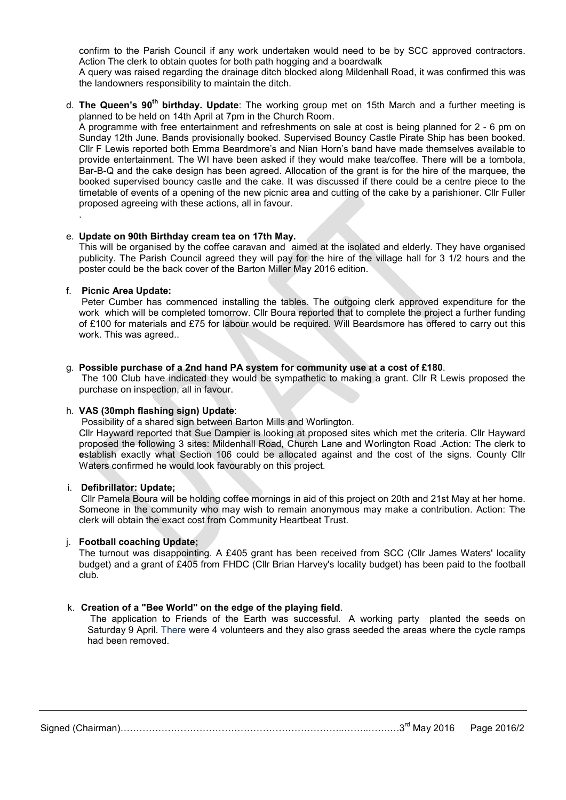confirm to the Parish Council if any work undertaken would need to be by SCC approved contractors. Action The clerk to obtain quotes for both path hogging and a boardwalk

A query was raised regarding the drainage ditch blocked along Mildenhall Road, it was confirmed this was the landowners responsibility to maintain the ditch.

d. The Queen's  $90<sup>th</sup>$  birthday. Update: The working group met on 15th March and a further meeting is planned to be held on 14th April at 7pm in the Church Room.

A programme with free entertainment and refreshments on sale at cost is being planned for 2 - 6 pm on Sunday 12th June. Bands provisionally booked. Supervised Bouncy Castle Pirate Ship has been booked. Cllr F Lewis reported both Emma Beardmore's and Nian Horn's band have made themselves available to provide entertainment. The WI have been asked if they would make tea/coffee. There will be a tombola, Bar-B-Q and the cake design has been agreed. Allocation of the grant is for the hire of the marquee, the booked supervised bouncy castle and the cake. It was discussed if there could be a centre piece to the timetable of events of a opening of the new picnic area and cutting of the cake by a parishioner. Cllr Fuller proposed agreeing with these actions, all in favour.

#### e. Update on 90th Birthday cream tea on 17th May.

This will be organised by the coffee caravan and aimed at the isolated and elderly. They have organised publicity. The Parish Council agreed they will pay for the hire of the village hall for 3 1/2 hours and the poster could be the back cover of the Barton Miller May 2016 edition.

#### f. Picnic Area Update:

.

 Peter Cumber has commenced installing the tables. The outgoing clerk approved expenditure for the work which will be completed tomorrow. Cllr Boura reported that to complete the project a further funding of £100 for materials and £75 for labour would be required. Will Beardsmore has offered to carry out this work. This was agreed..

#### g. Possible purchase of a 2nd hand PA system for community use at a cost of £180.

 The 100 Club have indicated they would be sympathetic to making a grant. Cllr R Lewis proposed the purchase on inspection, all in favour.

### h. VAS (30mph flashing sign) Update:

Possibility of a shared sign between Barton Mills and Worlington.

Cllr Hayward reported that Sue Dampier is looking at proposed sites which met the criteria. Cllr Hayward proposed the following 3 sites: Mildenhall Road, Church Lane and Worlington Road .Action: The clerk to establish exactly what Section 106 could be allocated against and the cost of the signs. County Cllr Waters confirmed he would look favourably on this project.

#### i. Defibrillator: Update;

Cllr Pamela Boura will be holding coffee mornings in aid of this project on 20th and 21st May at her home. Someone in the community who may wish to remain anonymous may make a contribution. Action: The clerk will obtain the exact cost from Community Heartbeat Trust.

# j. Football coaching Update;

The turnout was disappointing. A £405 grant has been received from SCC (Cllr James Waters' locality budget) and a grant of £405 from FHDC (Cllr Brian Harvey's locality budget) has been paid to the football club.

# k. Creation of a "Bee World" on the edge of the playing field.

 The application to Friends of the Earth was successful. A working party planted the seeds on Saturday 9 April. There were 4 volunteers and they also grass seeded the areas where the cycle ramps had been removed.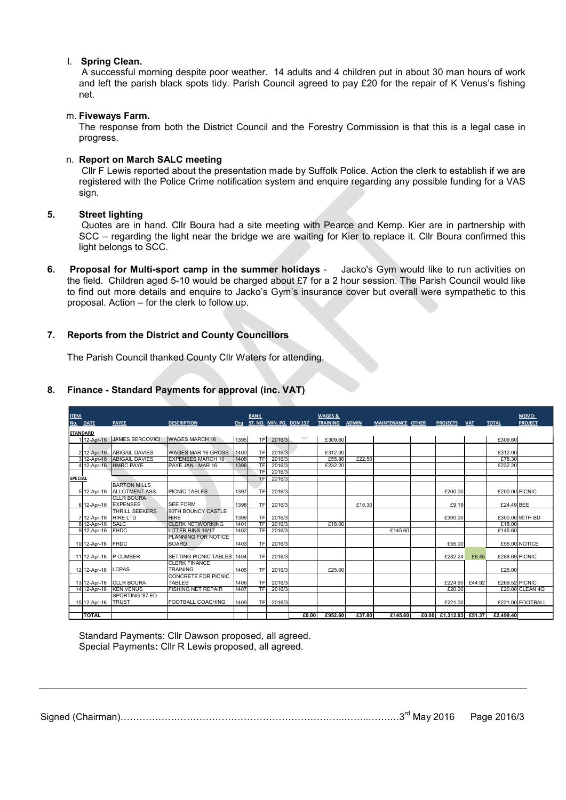# l. Spring Clean.

A successful morning despite poor weather. 14 adults and 4 children put in about 30 man hours of work and left the parish black spots tidy. Parish Council agreed to pay £20 for the repair of K Venus's fishing net.

#### m. Fiveways Farm.

The response from both the District Council and the Forestry Commission is that this is a legal case in progress.

#### n. Report on March SALC meeting

 Cllr F Lewis reported about the presentation made by Suffolk Police. Action the clerk to establish if we are registered with the Police Crime notification system and enquire regarding any possible funding for a VAS sign.

#### 5. Street lighting

# 7. Reports from the District and County Councillors

| sign.                                                                                                                                                                                                                                                                 |                                                                                   |                                                                                                                                                                                                                                                                                                                                       |                      |                        |                                  |                              |              |                   |  |                                   |        |                                             |
|-----------------------------------------------------------------------------------------------------------------------------------------------------------------------------------------------------------------------------------------------------------------------|-----------------------------------------------------------------------------------|---------------------------------------------------------------------------------------------------------------------------------------------------------------------------------------------------------------------------------------------------------------------------------------------------------------------------------------|----------------------|------------------------|----------------------------------|------------------------------|--------------|-------------------|--|-----------------------------------|--------|---------------------------------------------|
| <b>Street lighting</b><br>Quotes are in hand. Cllr Boura had a site meeting with Pearce and Kemp. Kier are in partnership with<br>SCC – regarding the light near the bridge we are waiting for Kier to replace it. Cllr Boura confirmed this<br>light belongs to SCC. |                                                                                   |                                                                                                                                                                                                                                                                                                                                       |                      |                        |                                  |                              |              |                   |  |                                   |        |                                             |
|                                                                                                                                                                                                                                                                       |                                                                                   | Proposal for Multi-sport camp in the summer holidays -<br>the field. Children aged 5-10 would be charged about £7 for a 2 hour session. The Parish Council would like<br>to find out more details and enquire to Jacko's Gym's insurance cover but overall were sympathetic to this<br>proposal. Action - for the clerk to follow up. |                      |                        |                                  |                              |              |                   |  |                                   |        | Jacko's Gym would like to run activities on |
| <b>Reports from the District and County Councillors</b>                                                                                                                                                                                                               |                                                                                   |                                                                                                                                                                                                                                                                                                                                       |                      |                        |                                  |                              |              |                   |  |                                   |        |                                             |
| The Parish Council thanked County Cllr Waters for attending.<br>Finance - Standard Payments for approval (inc. VAT)                                                                                                                                                   |                                                                                   |                                                                                                                                                                                                                                                                                                                                       |                      |                        |                                  |                              |              |                   |  |                                   |        |                                             |
| <b>ITEM</b><br>No. DATE                                                                                                                                                                                                                                               | <b>PAYEE</b>                                                                      | <b>DESCRIPTION</b>                                                                                                                                                                                                                                                                                                                    | Chq                  | <b>BANK</b>            | ST. NO. MIN. PG. DON 137         | WAGES &<br><b>TRAINING</b>   | <b>ADMIN</b> | MAINTENANCE OTHER |  | PROJECTS VAT                      |        | MEMO:<br><b>TOTAL</b><br><b>PROJECT</b>     |
| <b>STANDARD</b>                                                                                                                                                                                                                                                       | 1 12-Apr-16 JAMES BERCOVICI                                                       | WAGES MARCH 16                                                                                                                                                                                                                                                                                                                        | 1395                 |                        | TF 2016/3                        | £309.60                      |              |                   |  |                                   |        | £309.60                                     |
|                                                                                                                                                                                                                                                                       | 2 12-Apr-16 ABIGAIL DAVIES<br>3 12-Apr-16 ABIGAIL DAVIES<br>4 12-Apr-16 HMRC PAYE | WAGES MAR 16 GROSS<br><b>EXPENSES MARCH 16</b><br>PAYE JAN - MAR 16                                                                                                                                                                                                                                                                   | 1400<br>1408<br>1396 | TF                     | 2016/3<br>TF 2016/3<br>TF 2016/3 | £312.00<br>£55.80<br>£232.20 | £22.50       |                   |  |                                   |        | £312.00<br>£78.30<br>£232.20                |
| <b>SPECIAL</b>                                                                                                                                                                                                                                                        | <b>BARTON MILLS</b>                                                               |                                                                                                                                                                                                                                                                                                                                       |                      |                        | TF 2016/3<br>TF 2016/3           |                              |              |                   |  |                                   |        |                                             |
| 5 12-Apr-16<br>6 12-Apr-16                                                                                                                                                                                                                                            | <b>ALLOTMENT ASS.</b><br><b>CLLR BOURA</b><br><b>EXPENSES</b>                     | PICNIC TABLES<br>SEE FORM                                                                                                                                                                                                                                                                                                             | 1397<br>1398         | TF<br><b>TF</b>        | 2016/3<br>2016/3                 |                              | £15.30       |                   |  | £200.00<br>£9.19                  |        | £200.00 PICNIC<br>£24.49 BEE                |
| 7 12-Apr-16                                                                                                                                                                                                                                                           | THRILL SEEKERS<br><b>HIRE LTD</b><br>8 12-Apr-16 SALC                             | 90TH BOUNCY CASTLE<br><b>HIRE</b><br><b>CLERK NETWORKING</b>                                                                                                                                                                                                                                                                          | 1399<br>1401         | <b>TF</b><br><b>TF</b> | 2016/3<br>2016/3                 | £18.00                       |              |                   |  | £300.00                           |        | £300.00 90TH BD<br>£18.00                   |
|                                                                                                                                                                                                                                                                       | 9 12-Apr-16 FHDC<br>10 12-Apr-16 FHDC                                             | LITTER BINS 16/17<br>PLANNING FOR NOTICE<br><b>BOARD</b>                                                                                                                                                                                                                                                                              | 1402<br>1403         | TF<br>TF               | 2016/3<br>2016/3                 |                              |              | £145.60           |  | £55.00                            |        | £145.60<br>£55.00 NOTICE                    |
|                                                                                                                                                                                                                                                                       | 11 12-Apr-16 P CUMBER                                                             | SETTING PICNIC TABLES 1404<br><b>CLERK FINANCE</b>                                                                                                                                                                                                                                                                                    |                      | TF                     | 2016/3                           |                              |              |                   |  | £282.24                           | £6.45  | £288.69 PICNIC                              |
|                                                                                                                                                                                                                                                                       | 12 12-Apr-16 LCPAS                                                                | TRAINING<br>CONCRETE FOR PICNIC                                                                                                                                                                                                                                                                                                       | 1405                 | <b>TF</b>              | 2016/3                           | £25.00                       |              |                   |  |                                   |        | £25.00                                      |
|                                                                                                                                                                                                                                                                       | 13 12-Apr-16 CLLR BOURA<br>14 12-Apr-16 KEN VENUS<br>SPORTING '87 ED.             | TABLES<br><b>FISHING NET REPAIR</b>                                                                                                                                                                                                                                                                                                   | 1406<br>1407         | <b>TF</b><br>TF        | 2016/3<br>2016/3                 |                              |              |                   |  | £224.60<br>£20.00                 | £44.92 | £269.52 PICNIC<br>£20.00 CLEAN 4Q           |
| 15 12-Apr-16<br><b>TOTAL</b>                                                                                                                                                                                                                                          | <b>TRUST</b>                                                                      | FOOTBALL COACHING                                                                                                                                                                                                                                                                                                                     | 1409                 | TF                     | 2016/3                           | £0.00<br>£952.60             | £37.80       | £145.60           |  | £221.00<br>£0.00 £1,312.03 £51.37 |        | £221.00 FOOTBALL<br>£2,499.40               |
|                                                                                                                                                                                                                                                                       |                                                                                   | Standard Payments: Cllr Dawson proposed, all agreed.<br>Special Payments: Cllr R Lewis proposed, all agreed.                                                                                                                                                                                                                          |                      |                        |                                  |                              |              |                   |  |                                   |        |                                             |

# 8. Finance - Standard Payments for approval (inc. VAT)

Signed (Chairman)……………………………………………………………..……..…….…3rd May 2016 Page 2016/3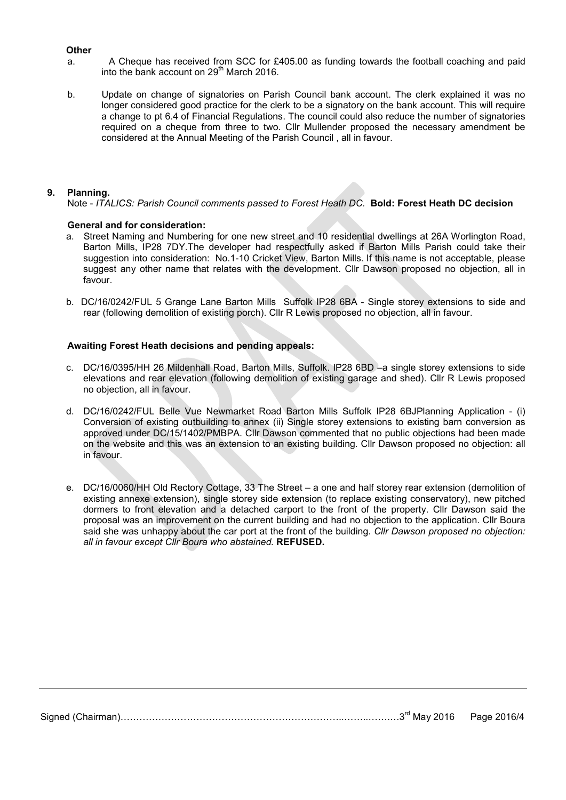#### **Other**

- a. A Cheque has received from SCC for £405.00 as funding towards the football coaching and paid into the bank account on  $29<sup>th</sup>$  March 2016.
- b. Update on change of signatories on Parish Council bank account. The clerk explained it was no longer considered good practice for the clerk to be a signatory on the bank account. This will require a change to pt 6.4 of Financial Regulations. The council could also reduce the number of signatories required on a cheque from three to two. Cllr Mullender proposed the necessary amendment be considered at the Annual Meeting of the Parish Council , all in favour.

#### 9. Planning.

Note - ITALICS: Parish Council comments passed to Forest Heath DC. Bold: Forest Heath DC decision

#### General and for consideration:

- a. Street Naming and Numbering for one new street and 10 residential dwellings at 26A Worlington Road, Barton Mills, IP28 7DY.The developer had respectfully asked if Barton Mills Parish could take their suggestion into consideration: No.1-10 Cricket View, Barton Mills. If this name is not acceptable, please suggest any other name that relates with the development. Cllr Dawson proposed no objection, all in favour.
- b. DC/16/0242/FUL 5 Grange Lane Barton Mills Suffolk IP28 6BA Single storey extensions to side and rear (following demolition of existing porch). Cllr R Lewis proposed no objection, all in favour.

#### Awaiting Forest Heath decisions and pending appeals:

- c. DC/16/0395/HH 26 Mildenhall Road, Barton Mills, Suffolk. IP28 6BD –a single storey extensions to side elevations and rear elevation (following demolition of existing garage and shed). Cllr R Lewis proposed no objection, all in favour.
- d. DC/16/0242/FUL Belle Vue Newmarket Road Barton Mills Suffolk IP28 6BJPlanning Application (i) Conversion of existing outbuilding to annex (ii) Single storey extensions to existing barn conversion as approved under DC/15/1402/PMBPA. Cllr Dawson commented that no public objections had been made on the website and this was an extension to an existing building. Cllr Dawson proposed no objection: all in favour.
- e. DC/16/0060/HH Old Rectory Cottage, 33 The Street a one and half storey rear extension (demolition of existing annexe extension), single storey side extension (to replace existing conservatory), new pitched dormers to front elevation and a detached carport to the front of the property. Cllr Dawson said the proposal was an improvement on the current building and had no objection to the application. Cllr Boura said she was unhappy about the car port at the front of the building. Cllr Dawson proposed no objection: all in favour except Cllr Boura who abstained. REFUSED.

Signed (Chairman)……………………………………………………………..……..…….…3rd May 2016 Page 2016/4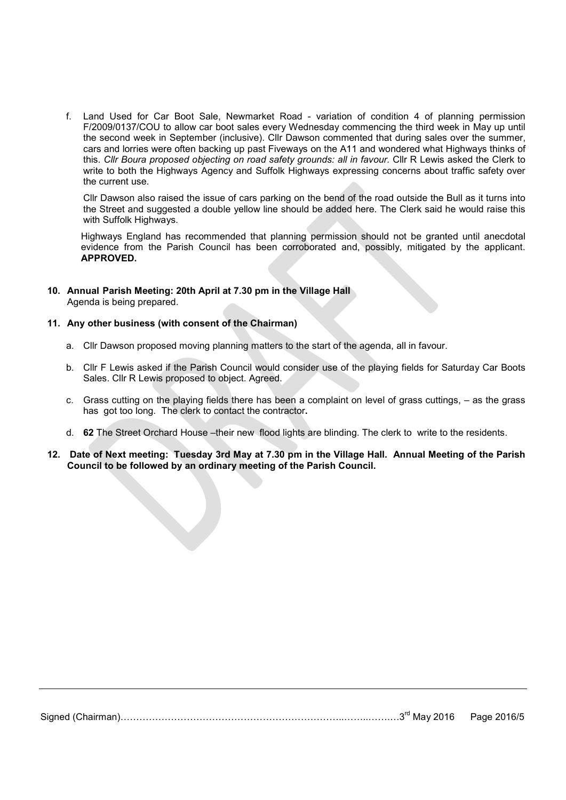f. Land Used for Car Boot Sale, Newmarket Road - variation of condition 4 of planning permission F/2009/0137/COU to allow car boot sales every Wednesday commencing the third week in May up until the second week in September (inclusive). Cllr Dawson commented that during sales over the summer, cars and lorries were often backing up past Fiveways on the A11 and wondered what Highways thinks of this. Cllr Boura proposed objecting on road safety grounds: all in favour. Cllr R Lewis asked the Clerk to write to both the Highways Agency and Suffolk Highways expressing concerns about traffic safety over the current use.

Cllr Dawson also raised the issue of cars parking on the bend of the road outside the Bull as it turns into the Street and suggested a double yellow line should be added here. The Clerk said he would raise this with Suffolk Highways.

 Highways England has recommended that planning permission should not be granted until anecdotal evidence from the Parish Council has been corroborated and, possibly, mitigated by the applicant. APPROVED.

10. Annual Parish Meeting: 20th April at 7.30 pm in the Village Hall Agenda is being prepared.

#### 11. Any other business (with consent of the Chairman)

- a. Cllr Dawson proposed moving planning matters to the start of the agenda, all in favour.
- b. Cllr F Lewis asked if the Parish Council would consider use of the playing fields for Saturday Car Boots Sales. Cllr R Lewis proposed to object. Agreed.
- c. Grass cutting on the playing fields there has been a complaint on level of grass cuttings, as the grass has got too long. The clerk to contact the contractor.
- d. 62 The Street Orchard House –their new flood lights are blinding. The clerk to write to the residents.
- 12. Date of Next meeting: Tuesday 3rd May at 7.30 pm in the Village Hall. Annual Meeting of the Parish Council to be followed by an ordinary meeting of the Parish Council.